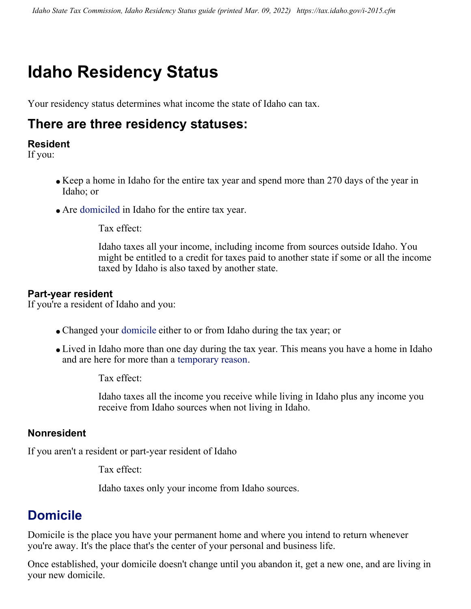# **Idaho Residency Status**

Your residency status determines what income the state of Idaho can tax.

# **There are three residency statuses:**

#### **Resident**

If you:

- Keep a home in Idaho for the entire tax year and spend more than 270 days of the year in Idaho; or
- Are [domiciled](#page-0-0) in Idaho for the entire tax year.

Tax effect:

Idaho taxes all your income, including income from sources outside Idaho. You might be entitled to a credit for taxes paid to another state if some or all the income taxed by Idaho is also taxed by another state.

#### **Part-year resident**

If you're a resident of Idaho and you:

- Changed your [domicile](#page-0-0) either to or from Idaho during the tax year; or
- Lived in Idaho more than one day during the tax year. This means you have a home in Idaho and are here for more than a [temporary reason](http://staging.tax.idaho.gov/i-2015action.cfm?seg=temporary).

Tax effect:

Idaho taxes all the income you receive while living in Idaho plus any income you receive from Idaho sources when not living in Idaho.

#### **Nonresident**

If you aren't a resident or part-year resident of Idaho

Tax effect:

Idaho taxes only your income from Idaho sources.

# <span id="page-0-0"></span>**Domicile**

Domicile is the place you have your permanent home and where you intend to return whenever you're away. It's the place that's the center of your personal and business life.

Once established, your domicile doesn't change until you abandon it, get a new one, and are living in your new domicile.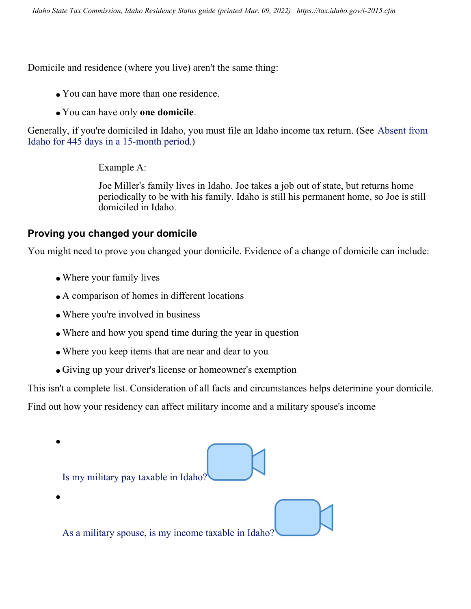Domicile and residence (where you live) aren't the same thing:

- You can have more than one residence.
- You can have only **one domicile**.

Generally, if you're domiciled in Idaho, you must file an Idaho income tax return. (See [Absent from](http://staging.tax.idaho.gov/i-2015action.cfm?seg=specific) [Idaho for 445 days in a 15-month period](http://staging.tax.idaho.gov/i-2015action.cfm?seg=specific).)

Example A:

Joe Miller's family lives in Idaho. Joe takes a job out of state, but returns home periodically to be with his family. Idaho is still his permanent home, so Joe is still domiciled in Idaho.

#### **Proving you changed your domicile**

You might need to prove you changed your domicile. Evidence of a change of domicile can include:

- Where your family lives
- A comparison of homes in different locations
- Where you're involved in business
- Where and how you spend time during the year in question
- Where you keep items that are near and dear to you
- Giving up your driver's license or homeowner's exemption

This isn't a complete list. Consideration of all facts and circumstances helps determine your domicile.

Find out how your residency can affect military income and a military spouse's income

[Is my military pay taxable in Idaho?](https://www.youtube.com/embed/mOTuO7nc6EY) [As a military spouse, is my income taxable in Idaho?](https://youtu.be/j2bCmmrtT0U)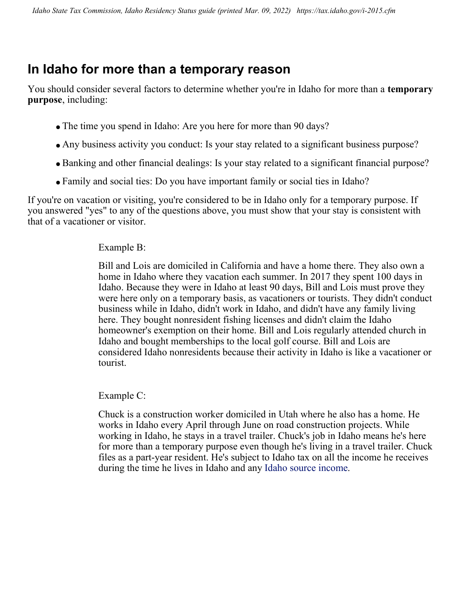## **In Idaho for more than a temporary reason**

You should consider several factors to determine whether you're in Idaho for more than a **temporary purpose**, including:

- The time you spend in Idaho: Are you here for more than 90 days?
- Any business activity you conduct: Is your stay related to a significant business purpose?
- Banking and other financial dealings: Is your stay related to a significant financial purpose?
- Family and social ties: Do you have important family or social ties in Idaho?

If you're on vacation or visiting, you're considered to be in Idaho only for a temporary purpose. If you answered "yes" to any of the questions above, you must show that your stay is consistent with that of a vacationer or visitor.

#### Example B:

Bill and Lois are domiciled in California and have a home there. They also own a home in Idaho where they vacation each summer. In 2017 they spent 100 days in Idaho. Because they were in Idaho at least 90 days, Bill and Lois must prove they were here only on a temporary basis, as vacationers or tourists. They didn't conduct business while in Idaho, didn't work in Idaho, and didn't have any family living here. They bought nonresident fishing licenses and didn't claim the Idaho homeowner's exemption on their home. Bill and Lois regularly attended church in Idaho and bought memberships to the local golf course. Bill and Lois are considered Idaho nonresidents because their activity in Idaho is like a vacationer or tourist.

Example C:

Chuck is a construction worker domiciled in Utah where he also has a home. He works in Idaho every April through June on road construction projects. While working in Idaho, he stays in a travel trailer. Chuck's job in Idaho means he's here for more than a temporary purpose even though he's living in a travel trailer. Chuck files as a part-year resident. He's subject to Idaho tax on all the income he receives during the time he lives in Idaho and any [Idaho source income](http://staging.tax.idaho.gov/i-2014.cfm).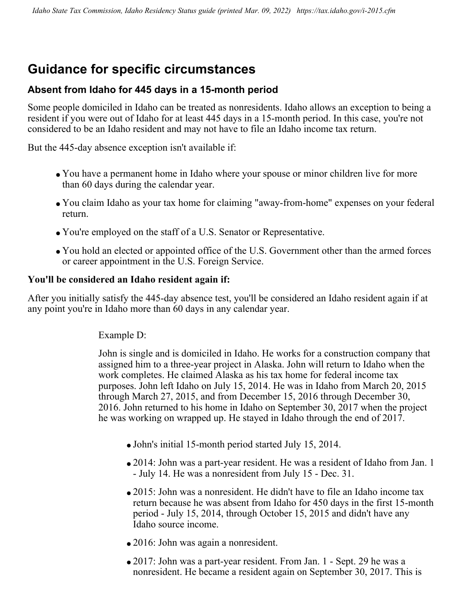# **Guidance for specific circumstances**

#### **Absent from Idaho for 445 days in a 15-month period**

Some people domiciled in Idaho can be treated as nonresidents. Idaho allows an exception to being a resident if you were out of Idaho for at least 445 days in a 15-month period. In this case, you're not considered to be an Idaho resident and may not have to file an Idaho income tax return.

But the 445-day absence exception isn't available if:

- You have a permanent home in Idaho where your spouse or minor children live for more than 60 days during the calendar year.
- You claim Idaho as your tax home for claiming "away-from-home" expenses on your federal return.
- You're employed on the staff of a U.S. Senator or Representative.
- You hold an elected or appointed office of the U.S. Government other than the armed forces or career appointment in the U.S. Foreign Service.

#### **You'll be considered an Idaho resident again if:**

After you initially satisfy the 445-day absence test, you'll be considered an Idaho resident again if at any point you're in Idaho more than 60 days in any calendar year.

#### Example D:

John is single and is domiciled in Idaho. He works for a construction company that assigned him to a three-year project in Alaska. John will return to Idaho when the work completes. He claimed Alaska as his tax home for federal income tax purposes. John left Idaho on July 15, 2014. He was in Idaho from March 20, 2015 through March 27, 2015, and from December 15, 2016 through December 30, 2016. John returned to his home in Idaho on September 30, 2017 when the project he was working on wrapped up. He stayed in Idaho through the end of 2017.

- John's initial 15-month period started July 15, 2014.
- 2014: John was a part-year resident. He was a resident of Idaho from Jan. 1 - July 14. He was a nonresident from July 15 - Dec. 31.
- 2015: John was a nonresident. He didn't have to file an Idaho income tax return because he was absent from Idaho for 450 days in the first 15-month period - July 15, 2014, through October 15, 2015 and didn't have any Idaho source income.
- 2016: John was again a nonresident.
- 2017: John was a part-year resident. From Jan. 1 Sept. 29 he was a nonresident. He became a resident again on September 30, 2017. This is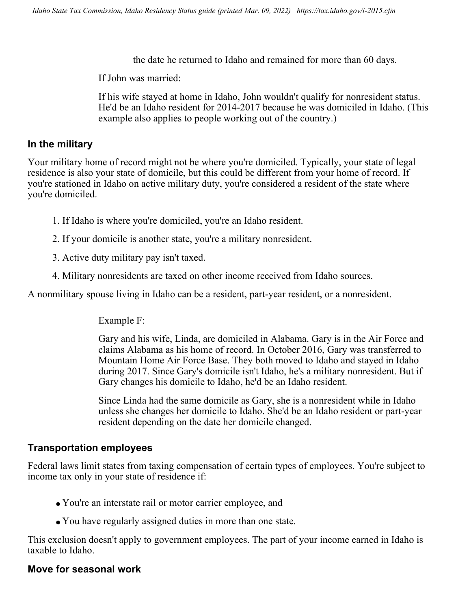the date he returned to Idaho and remained for more than 60 days.

If John was married:

If his wife stayed at home in Idaho, John wouldn't qualify for nonresident status. He'd be an Idaho resident for 2014-2017 because he was domiciled in Idaho. (This example also applies to people working out of the country.)

#### **In the military**

Your military home of record might not be where you're domiciled. Typically, your state of legal residence is also your state of domicile, but this could be different from your home of record. If you're stationed in Idaho on active military duty, you're considered a resident of the state where you're domiciled.

- 1. If Idaho is where you're domiciled, you're an Idaho resident.
- 2. If your domicile is another state, you're a military nonresident.
- 3. Active duty military pay isn't taxed.
- 4. Military nonresidents are taxed on other income received from Idaho sources.

A nonmilitary spouse living in Idaho can be a resident, part-year resident, or a nonresident.

Example F:

Gary and his wife, Linda, are domiciled in Alabama. Gary is in the Air Force and claims Alabama as his home of record. In October 2016, Gary was transferred to Mountain Home Air Force Base. They both moved to Idaho and stayed in Idaho during 2017. Since Gary's domicile isn't Idaho, he's a military nonresident. But if Gary changes his domicile to Idaho, he'd be an Idaho resident.

Since Linda had the same domicile as Gary, she is a nonresident while in Idaho unless she changes her domicile to Idaho. She'd be an Idaho resident or part-year resident depending on the date her domicile changed.

#### **Transportation employees**

Federal laws limit states from taxing compensation of certain types of employees. You're subject to income tax only in your state of residence if:

- You're an interstate rail or motor carrier employee, and
- You have regularly assigned duties in more than one state.

This exclusion doesn't apply to government employees. The part of your income earned in Idaho is taxable to Idaho.

#### **Move for seasonal work**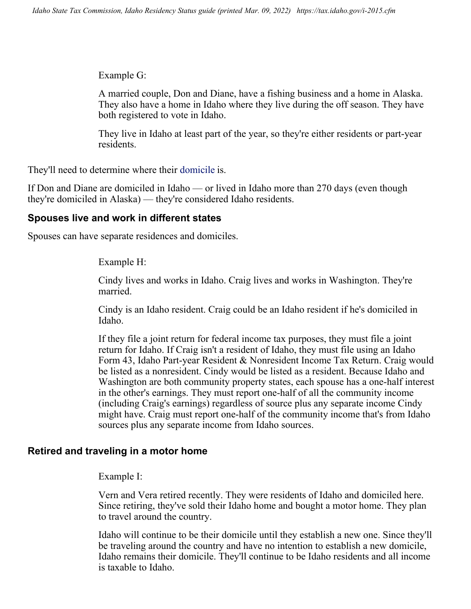Example G:

A married couple, Don and Diane, have a fishing business and a home in Alaska. They also have a home in Idaho where they live during the off season. They have both registered to vote in Idaho.

They live in Idaho at least part of the year, so they're either residents or part-year residents.

They'll need to determine where their [domicile](http://staging.tax.idaho.gov/i-2015.cfm#domicile) is.

If Don and Diane are domiciled in Idaho — or lived in Idaho more than 270 days (even though they're domiciled in Alaska) — they're considered Idaho residents.

#### **Spouses live and work in different states**

Spouses can have separate residences and domiciles.

Example H:

Cindy lives and works in Idaho. Craig lives and works in Washington. They're married.

Cindy is an Idaho resident. Craig could be an Idaho resident if he's domiciled in Idaho.

If they file a joint return for federal income tax purposes, they must file a joint return for Idaho. If Craig isn't a resident of Idaho, they must file using an Idaho Form 43, Idaho Part-year Resident & Nonresident Income Tax Return. Craig would be listed as a nonresident. Cindy would be listed as a resident. Because Idaho and Washington are both community property states, each spouse has a one-half interest in the other's earnings. They must report one-half of all the community income (including Craig's earnings) regardless of source plus any separate income Cindy might have. Craig must report one-half of the community income that's from Idaho sources plus any separate income from Idaho sources.

#### **Retired and traveling in a motor home**

Example I:

Vern and Vera retired recently. They were residents of Idaho and domiciled here. Since retiring, they've sold their Idaho home and bought a motor home. They plan to travel around the country.

Idaho will continue to be their domicile until they establish a new one. Since they'll be traveling around the country and have no intention to establish a new domicile, Idaho remains their domicile. They'll continue to be Idaho residents and all income is taxable to Idaho.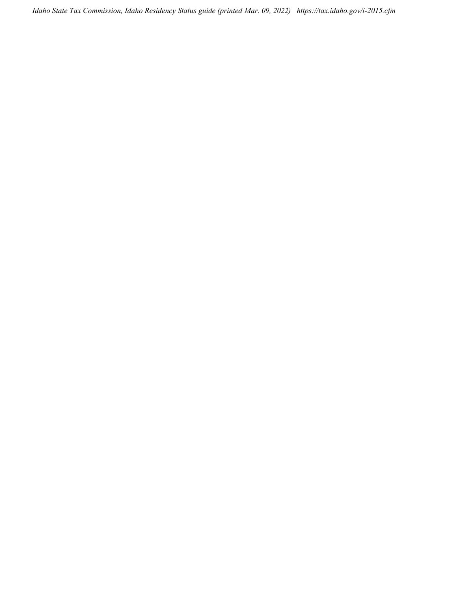*Idaho State Tax Commission, Idaho Residency Status guide (printed Mar. 09, 2022) https://tax.idaho.gov/i-2015.cfm*